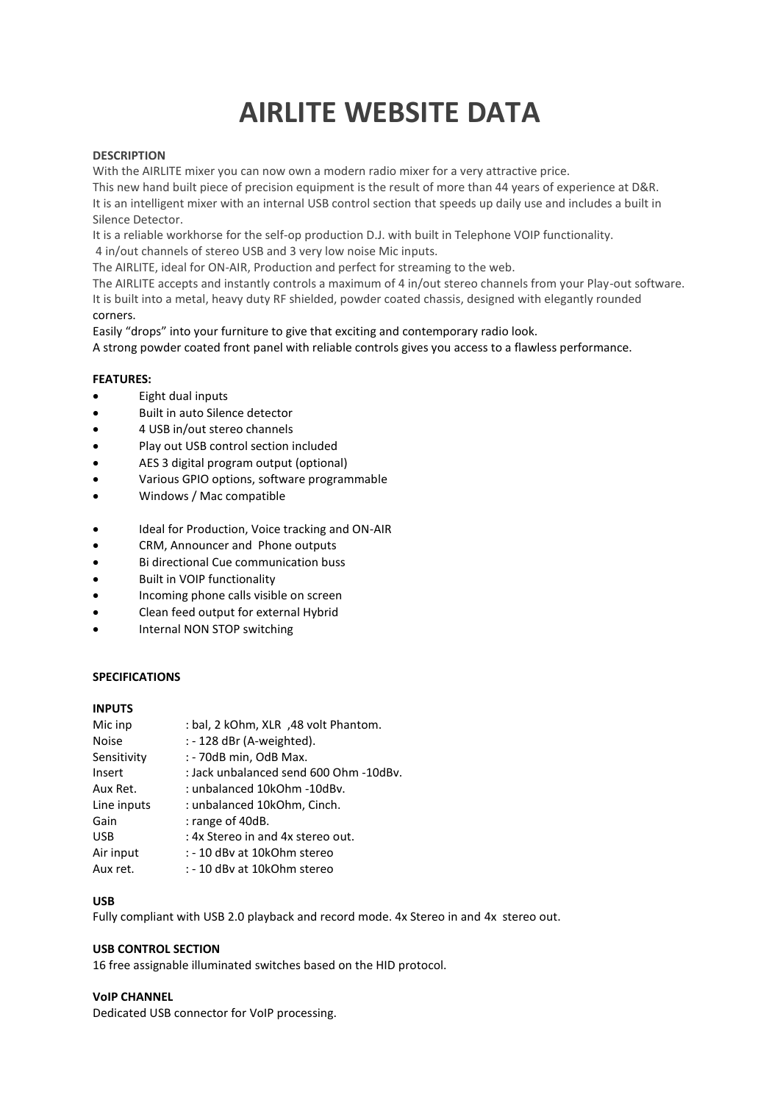# **AIRLITE WEBSITE DATA**

### **DESCRIPTION**

With the AIRLITE mixer you can now own a modern radio mixer for a very attractive price.

This new hand built piece of precision equipment is the result of more than 44 years of experience at D&R. It is an intelligent mixer with an internal USB control section that speeds up daily use and includes a built in Silence Detector.

It is a reliable workhorse for the self-op production D.J. with built in Telephone VOIP functionality.

4 in/out channels of stereo USB and 3 very low noise Mic inputs. The AIRLITE, ideal for ON-AIR, Production and perfect for streaming to the web.

The AIRLITE accepts and instantly controls a maximum of 4 in/out stereo channels from your Play-out software. It is built into a metal, heavy duty RF shielded, powder coated chassis, designed with elegantly rounded corners.

Easily "drops" into your furniture to give that exciting and contemporary radio look. A strong powder coated front panel with reliable controls gives you access to a flawless performance.

# **FEATURES:**

- Eight dual inputs
- Built in auto Silence detector
- 4 USB in/out stereo channels
- Play out USB control section included
- AES 3 digital program output (optional)
- Various GPIO options, software programmable
- Windows / Mac compatible
- Ideal for Production, Voice tracking and ON-AIR
- CRM, Announcer and Phone outputs
- Bi directional Cue communication buss
- Built in VOIP functionality
- Incoming phone calls visible on screen
- Clean feed output for external Hybrid
- Internal NON STOP switching

#### **SPECIFICATIONS**

#### **INPUTS**

| Mic inp      | : bal, 2 kOhm, XLR , 48 volt Phantom.  |
|--------------|----------------------------------------|
| <b>Noise</b> | : - 128 dBr (A-weighted).              |
| Sensitivity  | : - 70dB min, OdB Max.                 |
| Insert       | : Jack unbalanced send 600 Ohm -10dBv. |
| Aux Ret.     | : unbalanced 10kOhm -10dBv.            |
| Line inputs  | : unbalanced 10kOhm, Cinch.            |
| Gain         | : range of 40dB.                       |
| <b>USB</b>   | : 4x Stereo in and 4x stereo out.      |
| Air input    | : - 10 dBy at 10kOhm stereo            |
| Aux ret.     | : - 10 dBv at 10kOhm stereo            |

#### **USB**

Fully compliant with USB 2.0 playback and record mode. 4x Stereo in and 4x stereo out.

#### **USB CONTROL SECTION**

16 free assignable illuminated switches based on the HID protocol.

### **VoIP CHANNEL**

Dedicated USB connector for VoIP processing.